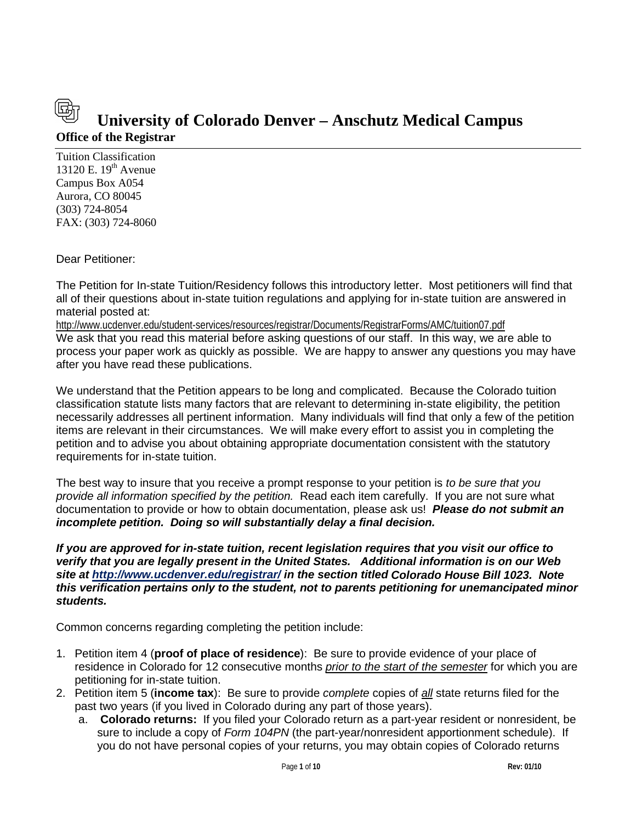# **Office of the Registrar University of Colorado Denver – Anschutz Medical Campus**

Tuition Classification 13120 E.  $19<sup>th</sup>$  Avenue Campus Box A054 Aurora, CO 80045 (303) 724-8054 FAX: (303) 724-8060

Dear Petitioner:

The Petition for In-state Tuition/Residency follows this introductory letter. Most petitioners will find that all of their questions about in-state tuition regulations and applying for in-state tuition are answered in material posted at:

<http://www.ucdenver.edu/student-services/resources/registrar/Documents/RegistrarForms/AMC/tuition07.pdf> We ask that you read this material before asking questions of our staff. In this way, we are able to process your paper work as quickly as possible. We are happy to answer any questions you may have after you have read these publications.

We understand that the Petition appears to be long and complicated. Because the Colorado tuition classification statute lists many factors that are relevant to determining in-state eligibility, the petition necessarily addresses all pertinent information. Many individuals will find that only a few of the petition items are relevant in their circumstances. We will make every effort to assist you in completing the petition and to advise you about obtaining appropriate documentation consistent with the statutory requirements for in-state tuition.

The best way to insure that you receive a prompt response to your petition is *to be sure that you provide all information specified by the petition.* Read each item carefully. If you are not sure what documentation to provide or how to obtain documentation, please ask us! *Please do not submit an incomplete petition. Doing so will substantially delay a final decision.* 

*If you are approved for in-state tuition, recent legislation requires that you visit our office to verify that you are legally present in the United States. Additional information is on our Web site at<http://www.ucdenver.edu/registrar/> in the section titled Colorado House Bill 1023. Note this verification pertains only to the student, not to parents petitioning for unemancipated minor students.*

Common concerns regarding completing the petition include:

- 1. Petition item 4 (**proof of place of residence**): Be sure to provide evidence of your place of residence in Colorado for 12 consecutive months *prior to the start of the semester* for which you are petitioning for in-state tuition.
- 2. Petition item 5 (**income tax**): Be sure to provide *complete* copies of *all* state returns filed for the past two years (if you lived in Colorado during any part of those years).
	- a. **Colorado returns:** If you filed your Colorado return as a part-year resident or nonresident, be sure to include a copy of *Form 104PN* (the part-year/nonresident apportionment schedule). If you do not have personal copies of your returns, you may obtain copies of Colorado returns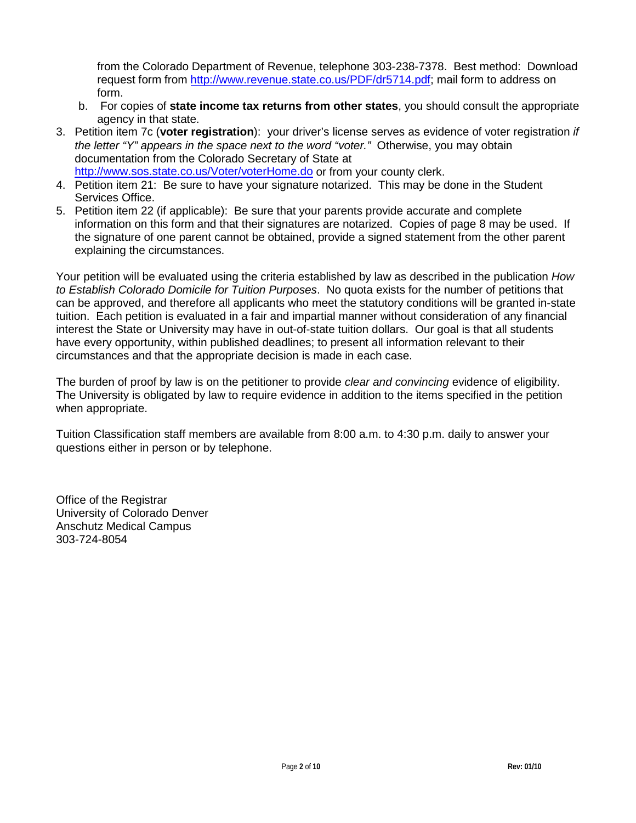from the Colorado Department of Revenue, telephone 303-238-7378. Best method: Download request form from [http://www.revenue.state.co.us/PDF/dr5714.pdf;](http://www.revenue.state.co.us/PDF/dr5714.pdf) mail form to address on form.

- b. For copies of **state income tax returns from other states**, you should consult the appropriate agency in that state.
- 3. Petition item 7c (**voter registration**): your driver's license serves as evidence of voter registration *if the letter "Y" appears in the space next to the word "voter."* Otherwise, you may obtain documentation from the Colorado Secretary of State at <http://www.sos.state.co.us/Voter/voterHome.do> or from your county clerk.
- 4. Petition item 21: Be sure to have your signature notarized. This may be done in the Student Services Office.
- 5. Petition item 22 (if applicable): Be sure that your parents provide accurate and complete information on this form and that their signatures are notarized. Copies of page 8 may be used. If the signature of one parent cannot be obtained, provide a signed statement from the other parent explaining the circumstances.

Your petition will be evaluated using the criteria established by law as described in the publication *How to Establish Colorado Domicile for Tuition Purposes*. No quota exists for the number of petitions that can be approved, and therefore all applicants who meet the statutory conditions will be granted in-state tuition. Each petition is evaluated in a fair and impartial manner without consideration of any financial interest the State or University may have in out-of-state tuition dollars. Our goal is that all students have every opportunity, within published deadlines; to present all information relevant to their circumstances and that the appropriate decision is made in each case.

The burden of proof by law is on the petitioner to provide *clear and convincing* evidence of eligibility. The University is obligated by law to require evidence in addition to the items specified in the petition when appropriate.

Tuition Classification staff members are available from 8:00 a.m. to 4:30 p.m. daily to answer your questions either in person or by telephone.

Office of the Registrar University of Colorado Denver Anschutz Medical Campus 303-724-8054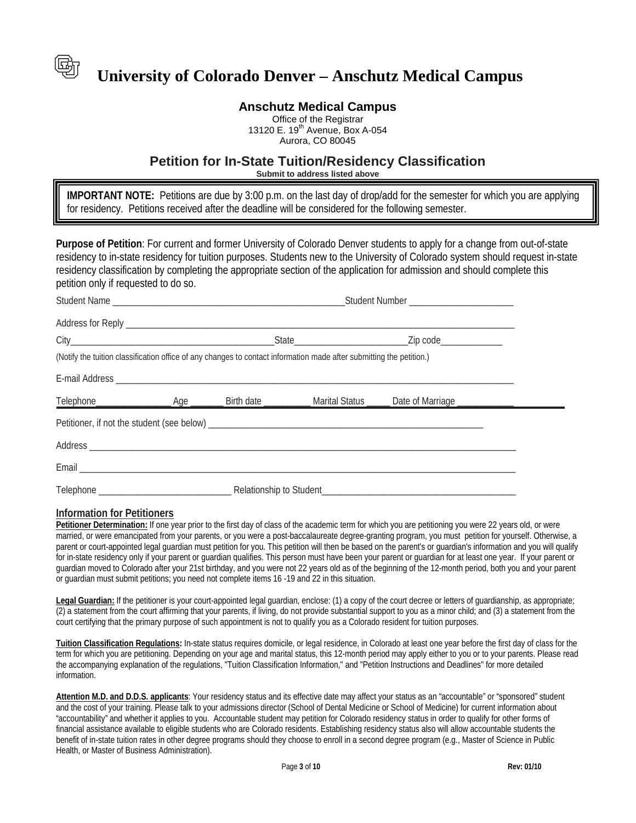

# **Anschutz Medical Campus**

Office of the Registrar 13120 E. 19<sup>th</sup> Avenue, Box A-054 Aurora, CO 80045

### **Petition for In-State Tuition/Residency Classification**

**Submit to address listed above**

for residency. Petitions received after the deadline will be considered for the following semester. **IMPORTANT NOTE:** Petitions are due by 3:00 p.m. on the last day of drop/add for the semester for which you are applying

**Purpose of Petition**: For current and former University of Colorado Denver students to apply for a change from out-of-state residency to in-state residency for tuition purposes. Students new to the University of Colorado system should request in-state residency classification by completing the appropriate section of the application for admission and should complete this petition only if requested to do so.

|  | (Notify the tuition classification office of any changes to contact information made after submitting the petition.) |  |  |
|--|----------------------------------------------------------------------------------------------------------------------|--|--|
|  |                                                                                                                      |  |  |
|  |                                                                                                                      |  |  |
|  |                                                                                                                      |  |  |
|  |                                                                                                                      |  |  |
|  |                                                                                                                      |  |  |
|  |                                                                                                                      |  |  |

#### **Information for Petitioners**

Petitioner Determination: If one year prior to the first day of class of the academic term for which you are petitioning you were 22 years old, or were married, or were emancipated from your parents, or you were a post-baccalaureate degree-granting program, you must petition for yourself. Otherwise, a parent or court-appointed legal guardian must petition for you. This petition will then be based on the parent's or guardian's information and you will qualify for in-state residency only if your parent or guardian qualifies. This person must have been your parent or guardian for at least one year. If your parent or guardian moved to Colorado after your 21st birthday, and you were not 22 years old as of the beginning of the 12-month period, both you and your parent or guardian must submit petitions; you need not complete items 16 -19 and 22 in this situation.

**Legal Guardian:** If the petitioner is your court-appointed legal guardian, enclose: (1) a copy of the court decree or letters of guardianship, as appropriate; (2) a statement from the court affirming that your parents, if living, do not provide substantial support to you as a minor child; and (3) a statement from the court certifying that the primary purpose of such appointment is not to qualify you as a Colorado resident for tuition purposes.

**Tuition Classification Regulations:** In-state status requires domicile, or legal residence, in Colorado at least one year before the first day of class for the term for which you are petitioning. Depending on your age and marital status, this 12-month period may apply either to you or to your parents. Please read the accompanying explanation of the regulations, "Tuition Classification Information," and "Petition Instructions and Deadlines" for more detailed information.

**Attention M.D. and D.D.S. applicants**: Your residency status and its effective date may affect your status as an "accountable" or "sponsored" student and the cost of your training. Please talk to your admissions director (School of Dental Medicine or School of Medicine) for current information about "accountability" and whether it applies to you. Accountable student may petition for Colorado residency status in order to qualify for other forms of financial assistance available to eligible students who are Colorado residents. Establishing residency status also will allow accountable students the benefit of in-state tuition rates in other degree programs should they choose to enroll in a second degree program (e.g., Master of Science in Public Health, or Master of Business Administration).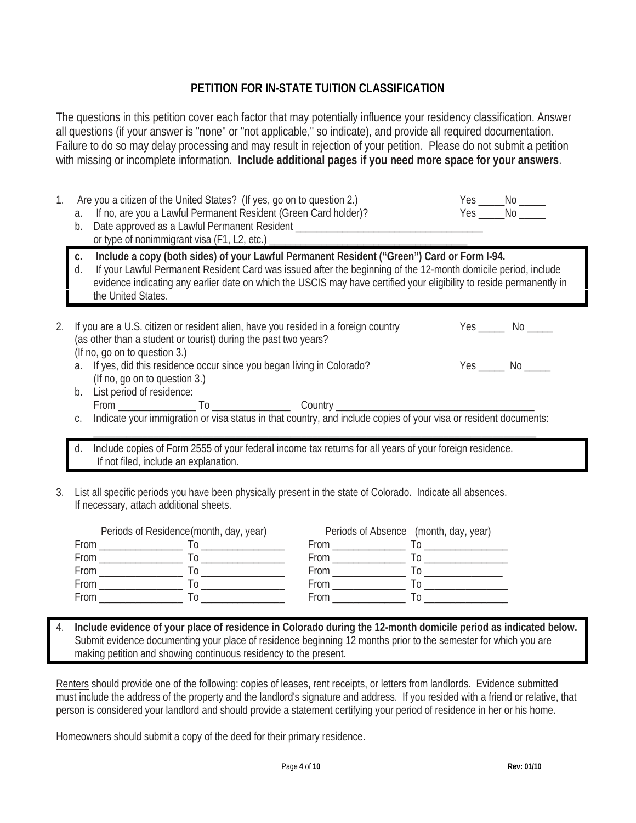# **PETITION FOR IN-STATE TUITION CLASSIFICATION**

The questions in this petition cover each factor that may potentially influence your residency classification. Answer all questions (if your answer is "none" or "not applicable," so indicate), and provide all required documentation. Failure to do so may delay processing and may result in rejection of your petition. Please do not submit a petition with missing or incomplete information. **Include additional pages if you need more space for your answers**.

| 1. | Are you a citizen of the United States? (If yes, go on to question 2.)<br>If no, are you a Lawful Permanent Resident (Green Card holder)?<br>a.<br>Date approved as a Lawful Permanent Resident ___________________________________<br>b.<br>or type of nonimmigrant visa (F1, L2, etc.) _________                                                                              | $Yes$ $No$ |                         |  |  |
|----|---------------------------------------------------------------------------------------------------------------------------------------------------------------------------------------------------------------------------------------------------------------------------------------------------------------------------------------------------------------------------------|------------|-------------------------|--|--|
|    | Include a copy (both sides) of your Lawful Permanent Resident ("Green") Card or Form I-94.<br>C.<br>If your Lawful Permanent Resident Card was issued after the beginning of the 12-month domicile period, include<br>$d_{\cdot}$<br>evidence indicating any earlier date on which the USCIS may have certified your eligibility to reside permanently in<br>the United States. |            |                         |  |  |
| 2. | If you are a U.S. citizen or resident alien, have you resided in a foreign country<br>(as other than a student or tourist) during the past two years?<br>(If no, go on to question 3.)                                                                                                                                                                                          |            |                         |  |  |
|    | If yes, did this residence occur since you began living in Colorado?<br>a.<br>(If no, go on to question 3.)<br>List period of residence:<br>b.                                                                                                                                                                                                                                  |            | $Yes$ _______ No ______ |  |  |
| C. |                                                                                                                                                                                                                                                                                                                                                                                 |            |                         |  |  |
|    | Include copies of Form 2555 of your federal income tax returns for all years of your foreign residence.<br>d.<br>If not filed, include an explanation.                                                                                                                                                                                                                          |            |                         |  |  |
|    | 3. List all specific periods you have been physically present in the state of Colorado. Indicate all absences.<br>If necessary, attach additional sheets.                                                                                                                                                                                                                       |            |                         |  |  |
|    | Periods of Residence (month, day, year)<br>Periods of Absence (month, day, year)<br>$\sim$ $\sim$                                                                                                                                                                                                                                                                               |            |                         |  |  |

|      | <b>EXECUTED IN AUTHOR CONTROLLER</b> | $\overline{1}$ cribits of Abscribe (filofiliti, day, year) |  |
|------|--------------------------------------|------------------------------------------------------------|--|
| From |                                      | From                                                       |  |
| From |                                      | From                                                       |  |
| From |                                      | From                                                       |  |
| From |                                      | From                                                       |  |
| From |                                      | From                                                       |  |
|      |                                      |                                                            |  |

4. **Include evidence of your place of residence in Colorado during the 12-month domicile period as indicated below.** Submit evidence documenting your place of residence beginning 12 months prior to the semester for which you are making petition and showing continuous residency to the present.

Renters should provide one of the following: copies of leases, rent receipts, or letters from landlords. Evidence submitted must include the address of the property and the landlord's signature and address. If you resided with a friend or relative, that person is considered your landlord and should provide a statement certifying your period of residence in her or his home.

Homeowners should submit a copy of the deed for their primary residence.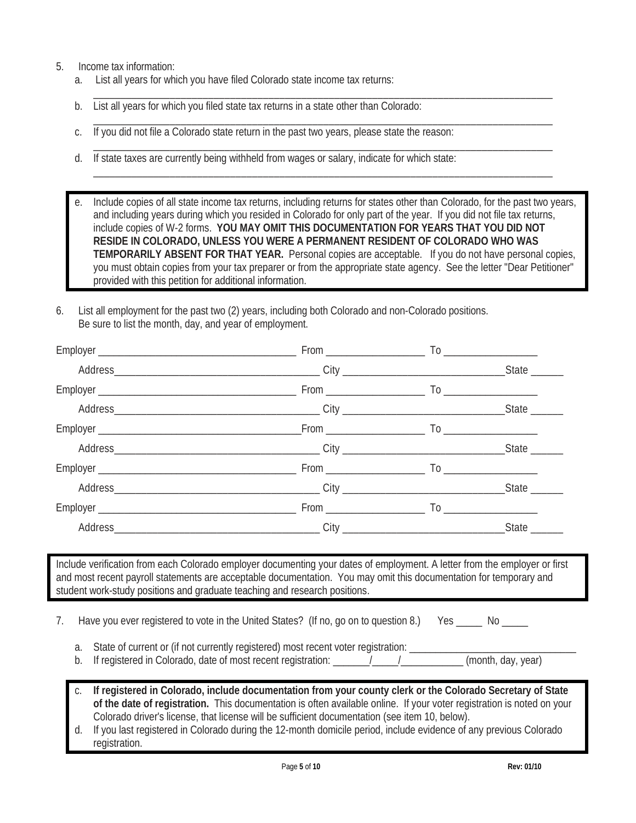- 5. Income tax information:
	- a. List all years for which you have filed Colorado state income tax returns:
	- b. List all years for which you filed state tax returns in a state other than Colorado:
	- c. If you did not file a Colorado state return in the past two years, please state the reason:
	- d. If state taxes are currently being withheld from wages or salary, indicate for which state:

e. Include copies of all state income tax returns, including returns for states other than Colorado, for the past two years, and including years during which you resided in Colorado for only part of the year. If you did not file tax returns, include copies of W-2 forms. **YOU MAY OMIT THIS DOCUMENTATION FOR YEARS THAT YOU DID NOT RESIDE IN COLORADO, UNLESS YOU WERE A PERMANENT RESIDENT OF COLORADO WHO WAS TEMPORARILY ABSENT FOR THAT YEAR.** Personal copies are acceptable. If you do not have personal copies, you must obtain copies from your tax preparer or from the appropriate state agency. See the letter "Dear Petitioner" provided with this petition for additional information.

\_\_\_\_\_\_\_\_\_\_\_\_\_\_\_\_\_\_\_\_\_\_\_\_\_\_\_\_\_\_\_\_\_\_\_\_\_\_\_\_\_\_\_\_\_\_\_\_\_\_\_\_\_\_\_\_\_\_\_\_\_\_\_\_\_\_\_\_\_\_\_\_\_\_\_\_\_\_\_\_\_\_\_\_

\_\_\_\_\_\_\_\_\_\_\_\_\_\_\_\_\_\_\_\_\_\_\_\_\_\_\_\_\_\_\_\_\_\_\_\_\_\_\_\_\_\_\_\_\_\_\_\_\_\_\_\_\_\_\_\_\_\_\_\_\_\_\_\_\_\_\_\_\_\_\_\_\_\_\_\_\_\_\_\_\_\_\_\_

\_\_\_\_\_\_\_\_\_\_\_\_\_\_\_\_\_\_\_\_\_\_\_\_\_\_\_\_\_\_\_\_\_\_\_\_\_\_\_\_\_\_\_\_\_\_\_\_\_\_\_\_\_\_\_\_\_\_\_\_\_\_\_\_\_\_\_\_\_\_\_\_\_\_\_\_\_\_\_\_\_\_\_\_

\_\_\_\_\_\_\_\_\_\_\_\_\_\_\_\_\_\_\_\_\_\_\_\_\_\_\_\_\_\_\_\_\_\_\_\_\_\_\_\_\_\_\_\_\_\_\_\_\_\_\_\_\_\_\_\_\_\_\_\_\_\_\_\_\_\_\_\_\_\_\_\_\_\_\_\_\_\_\_\_\_\_\_\_

6. List all employment for the past two (2) years, including both Colorado and non-Colorado positions. Be sure to list the month, day, and year of employment.

| Include verification from each Colorado employer documenting your dates of employment. A letter from the employer or first<br>and most recent payroll statements are acceptable documentation. You may omit this documentation for temporary and<br>student work-study positions and graduate teaching and research positions.         |  |  |
|----------------------------------------------------------------------------------------------------------------------------------------------------------------------------------------------------------------------------------------------------------------------------------------------------------------------------------------|--|--|
|                                                                                                                                                                                                                                                                                                                                        |  |  |
| Have you ever registered to vote in the United States? (If no, go on to question 8.) Yes _____ No _____<br>7.<br>State of current or (if not currently registered) most recent voter registration: ___________<br>a.<br>If registered in Colorado, date of most recent registration: _______/_____/___________(month, day, year)<br>b. |  |  |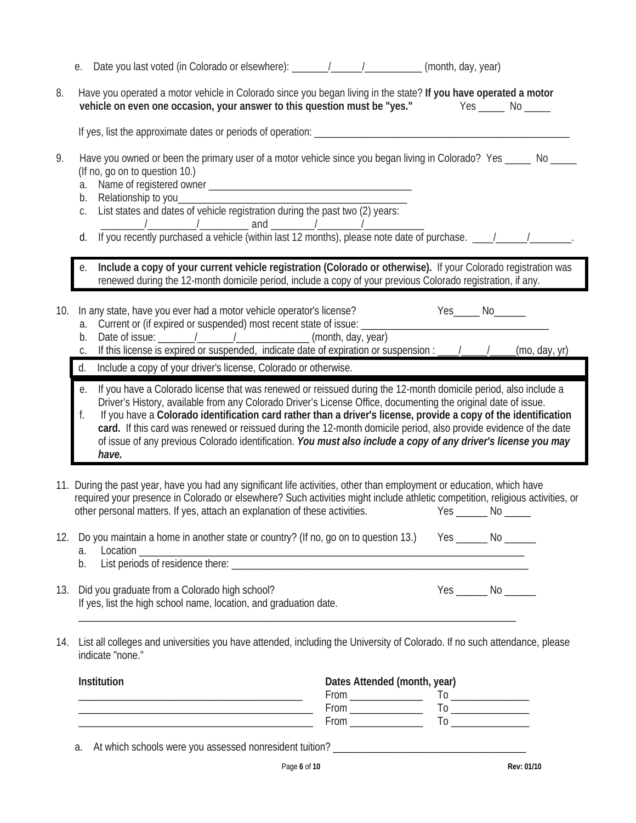|     |                      | e. Date you last voted (in Colorado or elsewhere): ______/_____/__________(month, day, year)                                                                                                                                                                                                                                                                                                                                                                                                                                                                                                         |                              |                     |
|-----|----------------------|------------------------------------------------------------------------------------------------------------------------------------------------------------------------------------------------------------------------------------------------------------------------------------------------------------------------------------------------------------------------------------------------------------------------------------------------------------------------------------------------------------------------------------------------------------------------------------------------------|------------------------------|---------------------|
| 8.  |                      | Have you operated a motor vehicle in Colorado since you began living in the state? If you have operated a motor<br>vehicle on even one occasion, your answer to this question must be "yes." Yes _____ No ____                                                                                                                                                                                                                                                                                                                                                                                       |                              |                     |
|     |                      |                                                                                                                                                                                                                                                                                                                                                                                                                                                                                                                                                                                                      |                              |                     |
| 9.  | a.<br>b.<br>С.<br>d. | Have you owned or been the primary user of a motor vehicle since you began living in Colorado? Yes _____ No ____<br>(If no, go on to question 10.)<br>List states and dates of vehicle registration during the past two (2) years:<br>The same of the same of the same of the same of the same of the same of the same of purchase. The same of the same of the same of the same of the same of the same of the same of the same of the same of the same of the same                                                                                                                                 |                              |                     |
|     | е.                   | Include a copy of your current vehicle registration (Colorado or otherwise). If your Colorado registration was<br>renewed during the 12-month domicile period, include a copy of your previous Colorado registration, if any.                                                                                                                                                                                                                                                                                                                                                                        |                              |                     |
| 10. | a.<br>b.<br>С.       | In any state, have you ever had a motor vehicle operator's license?<br>Current or (if expired or suspended) most recent state of issue: ____<br>If this license is expired or suspended, indicate date of expiration or suspension : ___/___/______(mo, day, yr)                                                                                                                                                                                                                                                                                                                                     |                              | Yes______ No_______ |
|     | d.                   | Include a copy of your driver's license, Colorado or otherwise.                                                                                                                                                                                                                                                                                                                                                                                                                                                                                                                                      |                              |                     |
|     | е.<br>f.             | If you have a Colorado license that was renewed or reissued during the 12-month domicile period, also include a<br>Driver's History, available from any Colorado Driver's License Office, documenting the original date of issue.<br>If you have a Colorado identification card rather than a driver's license, provide a copy of the identification<br>card. If this card was renewed or reissued during the 12-month domicile period, also provide evidence of the date<br>of issue of any previous Colorado identification. You must also include a copy of any driver's license you may<br>have. |                              |                     |
|     |                      | 11. During the past year, have you had any significant life activities, other than employment or education, which have<br>required your presence in Colorado or elsewhere? Such activities might include athletic competition, religious activities, or<br>other personal matters. If yes, attach an explanation of these activities.                                                                                                                                                                                                                                                                |                              |                     |
| 12. | a.<br>b.             | Do you maintain a home in another state or country? (If no, go on to question 13.) Yes ______ No ______<br>Location<br>List periods of residence there:                                                                                                                                                                                                                                                                                                                                                                                                                                              |                              |                     |
| 13. |                      | Did you graduate from a Colorado high school?<br>If yes, list the high school name, location, and graduation date.                                                                                                                                                                                                                                                                                                                                                                                                                                                                                   |                              |                     |
| 14. |                      | List all colleges and universities you have attended, including the University of Colorado. If no such attendance, please<br>indicate "none."                                                                                                                                                                                                                                                                                                                                                                                                                                                        |                              |                     |
|     | Institution          | <u> 2000 - Jan James James James James James James James James James James James James James James James James J</u>                                                                                                                                                                                                                                                                                                                                                                                                                                                                                 | Dates Attended (month, year) |                     |
|     | a.                   |                                                                                                                                                                                                                                                                                                                                                                                                                                                                                                                                                                                                      |                              |                     |

Page **6** of **10 Rev: 01/10**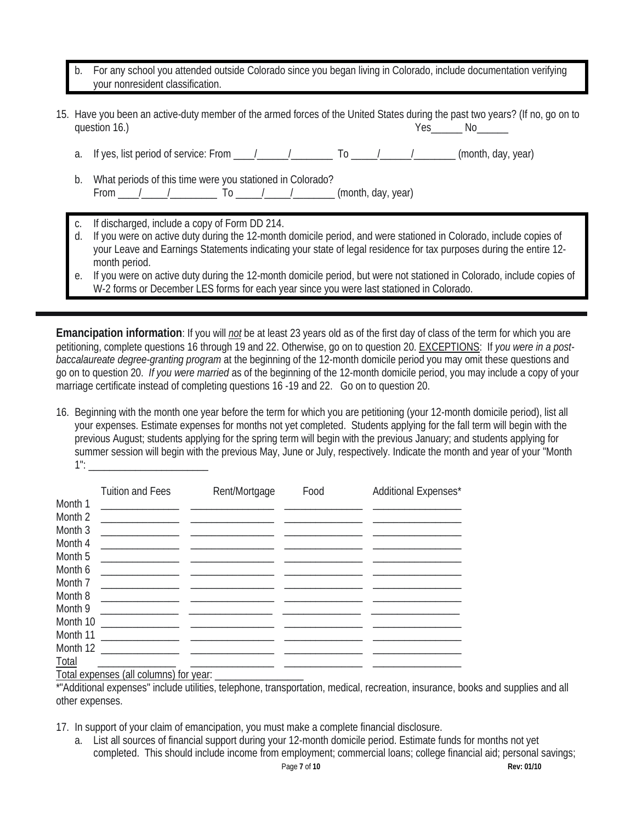- b. For any school you attended outside Colorado since you began living in Colorado, include documentation verifying your nonresident classification.
- 15. Have you been an active-duty member of the armed forces of the United States during the past two years? (If no, go on to question 16.) Ses The Notation 16. All the New Yes Theorem Note that the Notation 16.
	- a. If yes, list period of service: From  $\frac{1}{2}$   $\frac{1}{2}$  To  $\frac{1}{2}$  (month, day, year)
	- b. What periods of this time were you stationed in Colorado? From  $\frac{1}{\sqrt{2}}$  / To  $\frac{1}{\sqrt{2}}$  /  $\frac{1}{\sqrt{2}}$  (month, day, year)
	- If discharged, include a copy of Form DD 214.
	- If you were on active duty during the 12-month domicile period, and were stationed in Colorado, include copies of your Leave and Earnings Statements indicating your state of legal residence for tax purposes during the entire 12 month period.
	- e. If you were on active duty during the 12-month domicile period, but were not stationed in Colorado, include copies of W-2 forms or December LES forms for each year since you were last stationed in Colorado.

**Emancipation information**: If you will *not* be at least 23 years old as of the first day of class of the term for which you are petitioning, complete questions 16 through 19 and 22. Otherwise, go on to question 20. EXCEPTIONS: If *you were in a postbaccalaureate degree-granting program* at the beginning of the 12-month domicile period you may omit these questions and go on to question 20. *If you were married* as of the beginning of the 12-month domicile period, you may include a copy of your marriage certificate instead of completing questions 16 -19 and 22. Go on to question 20.

16. Beginning with the month one year before the term for which you are petitioning (your 12-month domicile period), list all your expenses. Estimate expenses for months not yet completed. Students applying for the fall term will begin with the previous August; students applying for the spring term will begin with the previous January; and students applying for summer session will begin with the previous May, June or July, respectively. Indicate the month and year of your "Month 1": \_\_\_\_\_\_\_\_\_\_\_\_\_\_\_\_\_\_\_\_\_\_\_

|          | <b>Tuition and Fees</b>                                                                   | Rent/Mortgage                                                                                                        | Food | Additional Expenses* |
|----------|-------------------------------------------------------------------------------------------|----------------------------------------------------------------------------------------------------------------------|------|----------------------|
| Month 1  |                                                                                           |                                                                                                                      |      |                      |
| Month 2  | <u> 1989 - Johann Barbara, martin a</u>                                                   | <u> 1989 - John Harrison, market aller andre stad i statistik av det stad i stad i stad i stad i stad i stad i s</u> |      |                      |
| Month 3  |                                                                                           |                                                                                                                      |      |                      |
| Month 4  |                                                                                           |                                                                                                                      |      |                      |
| Month 5  | the control of the control of the control of the control of the control of the control of |                                                                                                                      |      |                      |
| Month 6  | the control of the control of the control of the control of the control of the control of |                                                                                                                      |      |                      |
| Month 7  |                                                                                           |                                                                                                                      |      |                      |
| Month 8  |                                                                                           |                                                                                                                      |      |                      |
| Month 9  |                                                                                           |                                                                                                                      |      |                      |
| Month 10 |                                                                                           |                                                                                                                      |      |                      |
| Month 11 | <u> 1980 - Jan Barbara Barat, martin a</u>                                                |                                                                                                                      |      |                      |
| Month 12 |                                                                                           |                                                                                                                      |      |                      |
| Total    |                                                                                           |                                                                                                                      |      |                      |
|          | Total expenses (all columns) for year:                                                    |                                                                                                                      |      |                      |

\*"Additional expenses" include utilities, telephone, transportation, medical, recreation, insurance, books and supplies and all other expenses.

17. In support of your claim of emancipation, you must make a complete financial disclosure.

a. List all sources of financial support during your 12-month domicile period. Estimate funds for months not yet completed. This should include income from employment; commercial loans; college financial aid; personal savings;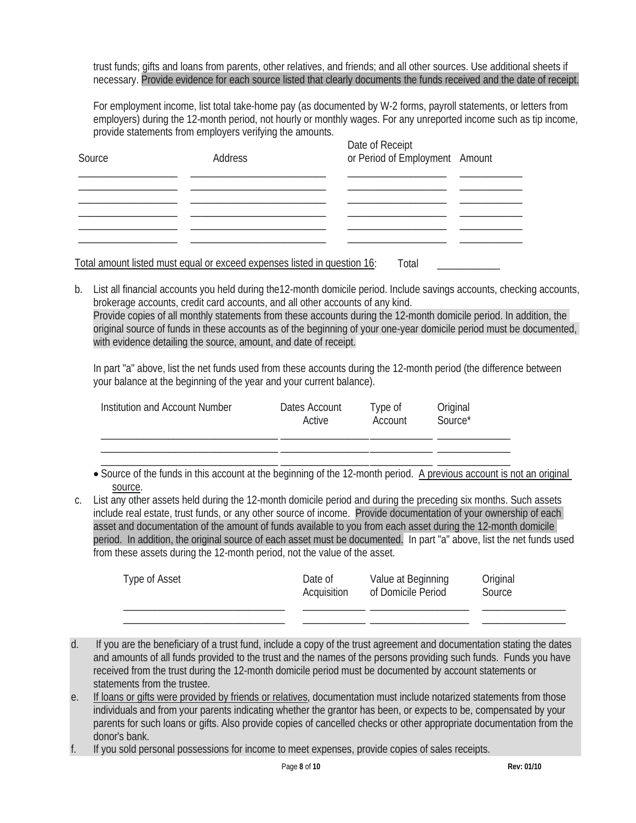trust funds; gifts and loans from parents, other relatives, and friends; and all other sources. Use additional sheets if necessary. Provide evidence for each source listed that clearly documents the funds received and the date of receipt.

For employment income, list total take-home pay (as documented by W-2 forms, payroll statements, or letters from employers) during the 12-month period, not hourly or monthly wages. For any unreported income such as tip income, provide statements from employers verifying the amounts.

| Source | Address | Date of Receipt<br>or Period of Employment Amount |  |
|--------|---------|---------------------------------------------------|--|
|        |         |                                                   |  |
|        |         |                                                   |  |
|        |         |                                                   |  |
|        |         |                                                   |  |

Total amount listed must equal or exceed expenses listed in question 16: Total

b. List all financial accounts you held during the12-month domicile period. Include savings accounts, checking accounts, brokerage accounts, credit card accounts, and all other accounts of any kind. Provide copies of all monthly statements from these accounts during the 12-month domicile period. In addition, the original source of funds in these accounts as of the beginning of your one-year domicile period must be documented, with evidence detailing the source, amount, and date of receipt.

In part "a" above, list the net funds used from these accounts during the 12-month period (the difference between your balance at the beginning of the year and your current balance).

| Institution and Account Number | Dates Account<br>Active | Type of<br>Account | Original<br>Source* |
|--------------------------------|-------------------------|--------------------|---------------------|
|                                |                         |                    |                     |
|                                |                         |                    |                     |

• Source of the funds in this account at the beginning of the 12-month period. A previous account is not an original source.

c. List any other assets held during the 12-month domicile period and during the preceding six months. Such assets include real estate, trust funds, or any other source of income. Provide documentation of your ownership of each asset and documentation of the amount of funds available to you from each asset during the 12-month domicile period. In addition, the original source of each asset must be documented. In part "a" above, list the net funds used from these assets during the 12-month period, not the value of the asset.

| Type of Asset | Date of     | Value at Beginning | Original |
|---------------|-------------|--------------------|----------|
|               | Acquisition | of Domicile Period | Source   |
|               |             |                    |          |

- d. If you are the beneficiary of a trust fund, include a copy of the trust agreement and documentation stating the dates and amounts of all funds provided to the trust and the names of the persons providing such funds. Funds you have received from the trust during the 12-month domicile period must be documented by account statements or statements from the trustee.
- e. If loans or gifts were provided by friends or relatives, documentation must include notarized statements from those individuals and from your parents indicating whether the grantor has been, or expects to be, compensated by your parents for such loans or gifts. Also provide copies of cancelled checks or other appropriate documentation from the donor's bank.
- f. If you sold personal possessions for income to meet expenses, provide copies of sales receipts.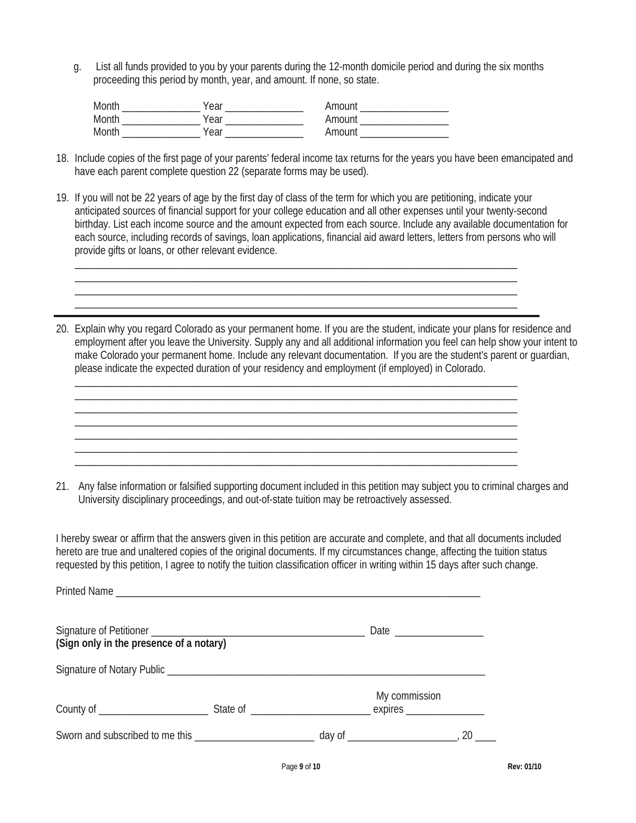g. List all funds provided to you by your parents during the 12-month domicile period and during the six months proceeding this period by month, year, and amount. If none, so state.

| Month. | /ear |                |
|--------|------|----------------|
| Month  | 'ear | <u>ımnı ır</u> |
| Month  | ear  |                |

- 18. Include copies of the first page of your parents' federal income tax returns for the years you have been emancipated and have each parent complete question 22 (separate forms may be used).
- 19. If you will not be 22 years of age by the first day of class of the term for which you are petitioning, indicate your anticipated sources of financial support for your college education and all other expenses until your twenty-second birthday. List each income source and the amount expected from each source. Include any available documentation for each source, including records of savings, loan applications, financial aid award letters, letters from persons who will provide gifts or loans, or other relevant evidence.

 $\_$  ,  $\_$  ,  $\_$  ,  $\_$  ,  $\_$  ,  $\_$  ,  $\_$  ,  $\_$  ,  $\_$  ,  $\_$  ,  $\_$  ,  $\_$  ,  $\_$  ,  $\_$  ,  $\_$  ,  $\_$  ,  $\_$  ,  $\_$  ,  $\_$  ,  $\_$ \_\_\_\_\_\_\_\_\_\_\_\_\_\_\_\_\_\_\_\_\_\_\_\_\_\_\_\_\_\_\_\_\_\_\_\_\_\_\_\_\_\_\_\_\_\_\_\_\_\_\_\_\_\_\_\_\_\_\_\_\_\_\_\_\_\_\_\_\_\_\_\_\_\_\_\_\_\_\_\_\_\_\_\_\_

\_\_\_\_\_\_\_\_\_\_\_\_\_\_\_\_\_\_\_\_\_\_\_\_\_\_\_\_\_\_\_\_\_\_\_\_\_\_\_\_\_\_\_\_\_\_\_\_\_\_\_\_\_\_\_\_\_\_\_\_\_\_\_\_\_\_\_\_\_\_\_\_\_\_\_\_\_\_\_\_\_\_\_\_\_

\_\_\_\_\_\_\_\_\_\_\_\_\_\_\_\_\_\_\_\_\_\_\_\_\_\_\_\_\_\_\_\_\_\_\_\_\_\_\_\_\_\_\_\_\_\_\_\_\_\_\_\_\_\_\_\_\_\_\_\_\_\_\_\_\_\_\_\_\_\_\_\_\_\_\_\_\_\_\_\_\_\_\_\_\_ \_\_\_\_\_\_\_\_\_\_\_\_\_\_\_\_\_\_\_\_\_\_\_\_\_\_\_\_\_\_\_\_\_\_\_\_\_\_\_\_\_\_\_\_\_\_\_\_\_\_\_\_\_\_\_\_\_\_\_\_\_\_\_\_\_\_\_\_\_\_\_\_\_\_\_\_\_\_\_\_\_\_\_\_\_

20. Explain why you regard Colorado as your permanent home. If you are the student, indicate your plans for residence and employment after you leave the University. Supply any and all additional information you feel can help show your intent to make Colorado your permanent home. Include any relevant documentation. If you are the student's parent or guardian, please indicate the expected duration of your residency and employment (if employed) in Colorado.

> \_\_\_\_\_\_\_\_\_\_\_\_\_\_\_\_\_\_\_\_\_\_\_\_\_\_\_\_\_\_\_\_\_\_\_\_\_\_\_\_\_\_\_\_\_\_\_\_\_\_\_\_\_\_\_\_\_\_\_\_\_\_\_\_\_\_\_\_\_\_\_\_\_\_\_\_\_\_\_\_\_\_\_\_\_ \_\_\_\_\_\_\_\_\_\_\_\_\_\_\_\_\_\_\_\_\_\_\_\_\_\_\_\_\_\_\_\_\_\_\_\_\_\_\_\_\_\_\_\_\_\_\_\_\_\_\_\_\_\_\_\_\_\_\_\_\_\_\_\_\_\_\_\_\_\_\_\_\_\_\_\_\_\_\_\_\_\_\_\_\_ \_\_\_\_\_\_\_\_\_\_\_\_\_\_\_\_\_\_\_\_\_\_\_\_\_\_\_\_\_\_\_\_\_\_\_\_\_\_\_\_\_\_\_\_\_\_\_\_\_\_\_\_\_\_\_\_\_\_\_\_\_\_\_\_\_\_\_\_\_\_\_\_\_\_\_\_\_\_\_\_\_\_\_\_\_

21. Any false information or falsified supporting document included in this petition may subject you to criminal charges and University disciplinary proceedings, and out-of-state tuition may be retroactively assessed.

I hereby swear or affirm that the answers given in this petition are accurate and complete, and that all documents included hereto are true and unaltered copies of the original documents. If my circumstances change, affecting the tuition status requested by this petition, I agree to notify the tuition classification officer in writing within 15 days after such change.

| (Sign only in the presence of a notary) |               |        |
|-----------------------------------------|---------------|--------|
|                                         |               |        |
|                                         | My commission |        |
|                                         |               | $20$ — |